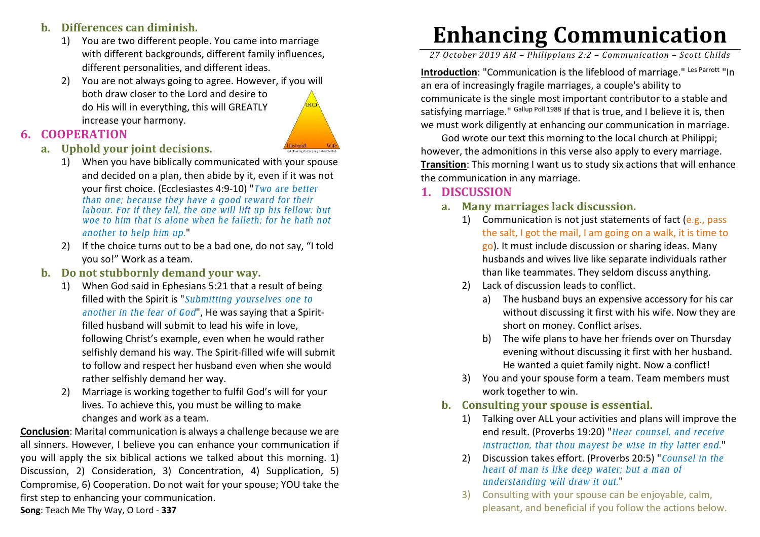#### **b. Differences can diminish.**

- 1) You are two different people. You came into marriage with different backgrounds, different family influences, different personalities, and different ideas.
- 2) You are not always going to agree. However, if you will both draw closer to the Lord and desire to do His will in everything, this will GREATLY increase your harmony.



## **6. COOPERATION**

- **a. Uphold your joint decisions.** 
	- 1) When you have biblically communicated with your spouse and decided on a plan, then abide by it, even if it was not your first choice. (Ecclesiastes 4:9-10) "*Two are better than one; because they have a good reward for their labour. For if they fall, the one will lift up his fellow: but woe to him that is alone when he falleth; for he hath not another to help him up.*"
	- 2) If the choice turns out to be a bad one, do not say, "I told you so!" Work as a team.
- **b. Do not stubbornly demand your way.** 
	- 1) When God said in Ephesians 5:21 that a result of being filled with the Spirit is "*Submitting yourselves one to another in the fear of God*", He was saying that a Spiritfilled husband will submit to lead his wife in love, following Christ's example, even when he would rather selfishly demand his way. The Spirit-filled wife will submit to follow and respect her husband even when she would rather selfishly demand her way.
	- 2) Marriage is working together to fulfil God's will for your lives. To achieve this, you must be willing to makechanges and work as a team.

**Conclusion**: Marital communication is always a challenge because we are all sinners. However, I believe you can enhance your communication if you will apply the six biblical actions we talked about this morning. 1) Discussion, 2) Consideration, 3) Concentration, 4) Supplication, 5) Compromise, 6) Cooperation. Do not wait for your spouse; YOU take the first step to enhancing your communication. **Song**: Teach Me Thy Way, O Lord - **337**

# **Enhancing Communication**

*27 October 2019 AM – Philippians 2:2 – Communication – Scott Childs* 

Introduction: "Communication is the lifeblood of marriage." Les Parrott "In an era of increasingly fragile marriages, a couple's ability to communicate is the single most important contributor to a stable and satisfying marriage." <sup>Gallup Poll 1988</sup> If that is true, and I believe it is, then we must work diligently at enhancing our communication in marriage.

God wrote our text this morning to the local church at Philippi; however, the admonitions in this verse also apply to every marriage. **Transition:** This morning I want us to study six actions that will enhance the communication in any marriage.

#### **1. DISCUSSION**

- **a. Many marriages lack discussion.** 
	- 1) Communication is not just statements of fact (e.g., pass the salt, I got the mail, I am going on a walk, it is time to go). It must include discussion or sharing ideas. Many husbands and wives live like separate individuals rather than like teammates. They seldom discuss anything.
	- 2) Lack of discussion leads to conflict.
		- a) The husband buys an expensive accessory for his car without discussing it first with his wife. Now they are short on money. Conflict arises.
		- b) The wife plans to have her friends over on Thursday evening without discussing it first with her husband. He wanted a quiet family night. Now a conflict!
	- 3) You and your spouse form a team. Team members must work together to win.
- **b. Consulting your spouse is essential.** 
	- 1) Talking over ALL your activities and plans will improve the end result. (Proverbs 19:20) "*Hear counsel, and receive instruction, that thou mayest be wise in thy latter end.*"
	- 2) Discussion takes effort. (Proverbs 20:5) "*Counsel in the heart of man is like deep water; but a man of understanding will draw it out.*"
	- 3) Consulting with your spouse can be enjoyable, calm, pleasant, and beneficial if you follow the actions below.